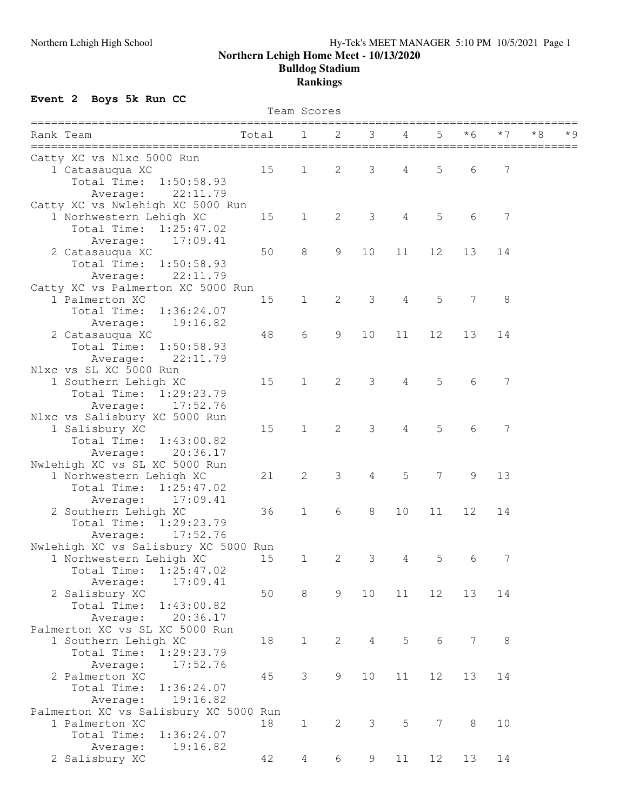## Northern Lehigh High School Hy-Tek's MEET MANAGER 5:10 PM 10/5/2021 Page 1 **Northern Lehigh Home Meet - 10/13/2020 Bulldog Stadium Rankings**

## **Event 2 Boys 5k Run CC**

| Team Scores                           |       |                |                |                  |                |           |               |         |    |     |
|---------------------------------------|-------|----------------|----------------|------------------|----------------|-----------|---------------|---------|----|-----|
| Rank Team                             | Total | 1              | 2              | 3<br>=========== | 4              | 5<br>==== | * 6           | $*7$    | *8 | * 9 |
| Catty XC vs Nlxc 5000 Run             |       |                |                |                  |                |           |               |         |    |     |
| 1 Catasauqua XC                       | 15    | $\mathbf{1}$   | $\mathbf{2}$   | 3                | 4              | 5         | 6             | 7       |    |     |
| Total Time:<br>1:50:58.93             |       |                |                |                  |                |           |               |         |    |     |
| Average:<br>22:11.79                  |       |                |                |                  |                |           |               |         |    |     |
| Catty XC vs Nwlehigh XC 5000 Run      |       |                |                |                  |                |           |               |         |    |     |
| 1 Norhwestern Lehigh XC               | 15    | $\mathbf 1$    | $\overline{c}$ | 3                | $\sqrt{4}$     | 5         | 6             | 7       |    |     |
| Total Time: 1:25:47.02                |       |                |                |                  |                |           |               |         |    |     |
| 17:09.41<br>Average:                  |       |                |                |                  |                |           |               |         |    |     |
| 2 Catasauqua XC                       | 50    | $\,8\,$        | $\mathcal{G}$  | 10               | 11             | 12        | 13            | 14      |    |     |
| Total Time:<br>1:50:58.93             |       |                |                |                  |                |           |               |         |    |     |
| 22:11.79<br>Average:                  |       |                |                |                  |                |           |               |         |    |     |
| Catty XC vs Palmerton XC 5000 Run     |       |                |                |                  |                |           |               |         |    |     |
| 1 Palmerton XC                        | 15    | $\mathbf{1}$   | $\mathbf{2}$   | 3                | $\overline{4}$ | 5         | 7             | 8       |    |     |
| Total Time:<br>1:36:24.07             |       |                |                |                  |                |           |               |         |    |     |
| 19:16.82<br>Average:                  |       |                |                |                  |                |           |               |         |    |     |
| 2 Catasauqua XC                       | 48    | 6              | 9              | 10               | 11             | 12        | 13            | 14      |    |     |
| Total Time:<br>1:50:58.93             |       |                |                |                  |                |           |               |         |    |     |
| 22:11.79                              |       |                |                |                  |                |           |               |         |    |     |
| Average:<br>Nlxc vs SL XC 5000 Run    |       |                |                |                  |                |           |               |         |    |     |
| 1 Southern Lehigh XC                  | 15    | $\mathbf 1$    | 2              | 3                | $\overline{4}$ | 5         | 6             | 7       |    |     |
|                                       |       |                |                |                  |                |           |               |         |    |     |
| Total Time: 1:29:23.79                |       |                |                |                  |                |           |               |         |    |     |
| 17:52.76<br>Average:                  |       |                |                |                  |                |           |               |         |    |     |
| Nlxc vs Salisbury XC 5000 Run         |       |                |                | 3                |                | 5         |               |         |    |     |
| 1 Salisbury XC                        | 15    | $\mathbf{1}$   | $\mathbf{2}$   |                  | $\overline{4}$ |           | 6             | 7       |    |     |
| Total Time:<br>1:43:00.82             |       |                |                |                  |                |           |               |         |    |     |
| 20:36.17<br>Average:                  |       |                |                |                  |                |           |               |         |    |     |
| Nwlehigh XC vs SL XC 5000 Run         |       |                |                |                  |                |           |               |         |    |     |
| 1 Norhwestern Lehigh XC               | 21    | 2              | 3              | 4                | 5              | 7         | $\mathcal{G}$ | 13      |    |     |
| Total Time:<br>1:25:47.02             |       |                |                |                  |                |           |               |         |    |     |
| 17:09.41<br>Average:                  |       |                |                |                  |                |           |               |         |    |     |
| 2 Southern Lehigh XC                  | 36    | $\mathbf 1$    | 6              | $8\,$            | 10             | 11        | 12            | 14      |    |     |
| Total Time: 1:29:23.79                |       |                |                |                  |                |           |               |         |    |     |
| 17:52.76<br>Average:                  |       |                |                |                  |                |           |               |         |    |     |
| Nwlehigh XC vs Salisbury XC 5000 Run  |       |                |                |                  |                |           |               |         |    |     |
| 1 Norhwestern Lehigh XC               | 15    | $\mathbf{1}$   | 2              | 3                | 4              | 5         | 6             | 7       |    |     |
| Total Time:<br>1:25:47.02             |       |                |                |                  |                |           |               |         |    |     |
| 17:09.41<br>Average:                  |       |                |                |                  |                |           |               |         |    |     |
| 2 Salisbury XC                        | 50    | 8              | 9              | 10               | 11             | 12        | 13            | 14      |    |     |
| Total Time:<br>1:43:00.82             |       |                |                |                  |                |           |               |         |    |     |
| 20:36.17<br>Average:                  |       |                |                |                  |                |           |               |         |    |     |
| Palmerton XC vs SL XC 5000 Run        |       |                |                |                  |                |           |               |         |    |     |
| 1 Southern Lehigh XC                  | 18    | $\mathbf 1$    | $\overline{2}$ | $\overline{4}$   | 5              | 6         | 7             | $\,8\,$ |    |     |
| Total Time:<br>1:29:23.79             |       |                |                |                  |                |           |               |         |    |     |
| 17:52.76<br>Average:                  |       |                |                |                  |                |           |               |         |    |     |
| 2 Palmerton XC                        | 45    | 3              | $\mathcal{G}$  | 10               | 11             | 12        | 13            | 14      |    |     |
| Total Time:<br>1:36:24.07             |       |                |                |                  |                |           |               |         |    |     |
| 19:16.82<br>Average:                  |       |                |                |                  |                |           |               |         |    |     |
| Palmerton XC vs Salisbury XC 5000 Run |       |                |                |                  |                |           |               |         |    |     |
| 1 Palmerton XC                        | 18    | $\mathbf 1$    | $\mathbf{2}$   | 3                | 5              | 7         | 8             | 10      |    |     |
| Total Time:<br>1:36:24.07             |       |                |                |                  |                |           |               |         |    |     |
| Average:<br>19:16.82                  |       |                |                |                  |                |           |               |         |    |     |
| 2 Salisbury XC                        | 42    | $\overline{4}$ | 6              | 9                | 11             | 12        | 13            | 14      |    |     |